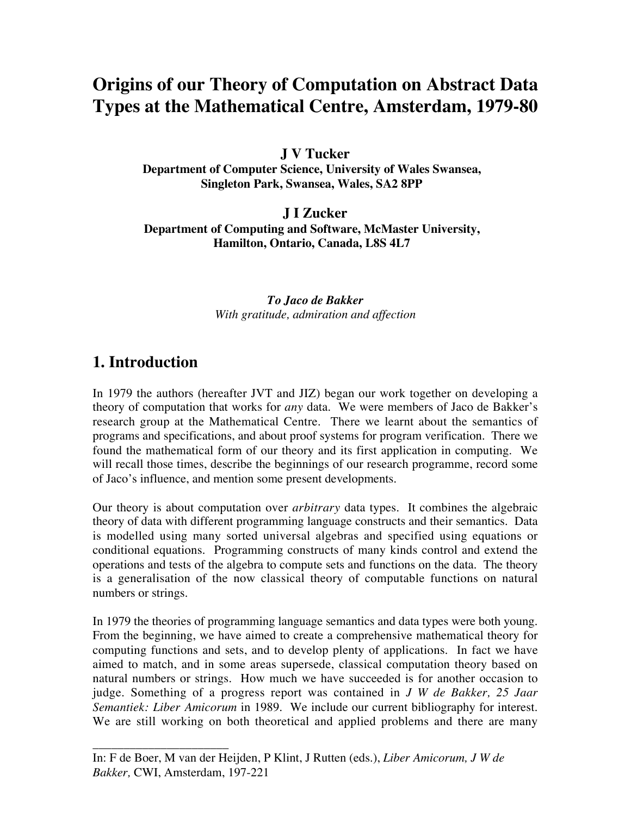# **Origins of our Theory of Computation on Abstract Data Types at the Mathematical Centre, Amsterdam, 1979-80**

**J V Tucker**

**Department of Computer Science, University of Wales Swansea, Singleton Park, Swansea, Wales, SA2 8PP**

**J I Zucker Department of Computing and Software, McMaster University, Hamilton, Ontario, Canada, L8S 4L7**

> *To Jaco de Bakker With gratitude, admiration and affection*

### **1. Introduction**

\_\_\_\_\_\_\_\_\_\_\_\_\_\_\_\_\_\_\_\_\_\_

In 1979 the authors (hereafter JVT and JIZ) began our work together on developing a theory of computation that works for *any* data. We were members of Jaco de Bakker's research group at the Mathematical Centre. There we learnt about the semantics of programs and specifications, and about proof systems for program verification. There we found the mathematical form of our theory and its first application in computing. We will recall those times, describe the beginnings of our research programme, record some of Jaco's influence, and mention some present developments.

Our theory is about computation over *arbitrary* data types. It combines the algebraic theory of data with different programming language constructs and their semantics. Data is modelled using many sorted universal algebras and specified using equations or conditional equations. Programming constructs of many kinds control and extend the operations and tests of the algebra to compute sets and functions on the data. The theory is a generalisation of the now classical theory of computable functions on natural numbers or strings.

In 1979 the theories of programming language semantics and data types were both young. From the beginning, we have aimed to create a comprehensive mathematical theory for computing functions and sets, and to develop plenty of applications. In fact we have aimed to match, and in some areas supersede, classical computation theory based on natural numbers or strings. How much we have succeeded is for another occasion to judge. Something of a progress report was contained in *J W de Bakker, 25 Jaar Semantiek: Liber Amicorum* in 1989. We include our current bibliography for interest. We are still working on both theoretical and applied problems and there are many

In: F de Boer, M van der Heijden, P Klint, J Rutten (eds.), *Liber Amicorum, J W de Bakker,* CWI, Amsterdam, 197-221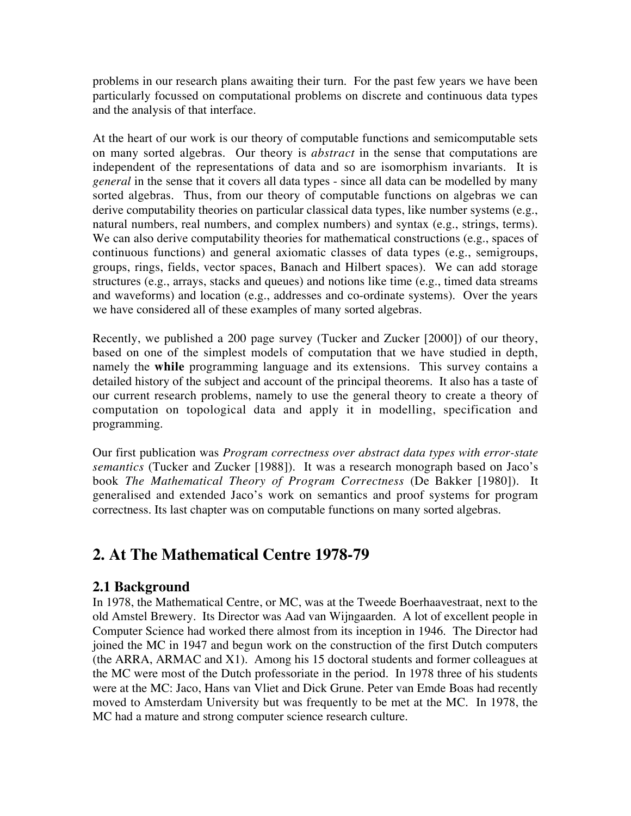problems in our research plans awaiting their turn. For the past few years we have been particularly focussed on computational problems on discrete and continuous data types and the analysis of that interface.

At the heart of our work is our theory of computable functions and semicomputable sets on many sorted algebras. Our theory is *abstract* in the sense that computations are independent of the representations of data and so are isomorphism invariants. It is *general* in the sense that it covers all data types - since all data can be modelled by many sorted algebras. Thus, from our theory of computable functions on algebras we can derive computability theories on particular classical data types, like number systems (e.g., natural numbers, real numbers, and complex numbers) and syntax (e.g., strings, terms). We can also derive computability theories for mathematical constructions (e.g., spaces of continuous functions) and general axiomatic classes of data types (e.g., semigroups, groups, rings, fields, vector spaces, Banach and Hilbert spaces). We can add storage structures (e.g., arrays, stacks and queues) and notions like time (e.g., timed data streams and waveforms) and location (e.g., addresses and co-ordinate systems). Over the years we have considered all of these examples of many sorted algebras.

Recently, we published a 200 page survey (Tucker and Zucker [2000]) of our theory, based on one of the simplest models of computation that we have studied in depth, namely the **while** programming language and its extensions. This survey contains a detailed history of the subject and account of the principal theorems. It also has a taste of our current research problems, namely to use the general theory to create a theory of computation on topological data and apply it in modelling, specification and programming.

Our first publication was *Program correctness over abstract data types with error-state semantics* (Tucker and Zucker [1988]). It was a research monograph based on Jaco's book *The Mathematical Theory of Program Correctness* (De Bakker [1980]). It generalised and extended Jaco's work on semantics and proof systems for program correctness. Its last chapter was on computable functions on many sorted algebras.

### **2. At The Mathematical Centre 1978-79**

#### **2.1 Background**

In 1978, the Mathematical Centre, or MC, was at the Tweede Boerhaavestraat, next to the old Amstel Brewery. Its Director was Aad van Wijngaarden. A lot of excellent people in Computer Science had worked there almost from its inception in 1946. The Director had joined the MC in 1947 and begun work on the construction of the first Dutch computers (the ARRA, ARMAC and X1). Among his 15 doctoral students and former colleagues at the MC were most of the Dutch professoriate in the period. In 1978 three of his students were at the MC: Jaco, Hans van Vliet and Dick Grune. Peter van Emde Boas had recently moved to Amsterdam University but was frequently to be met at the MC. In 1978, the MC had a mature and strong computer science research culture.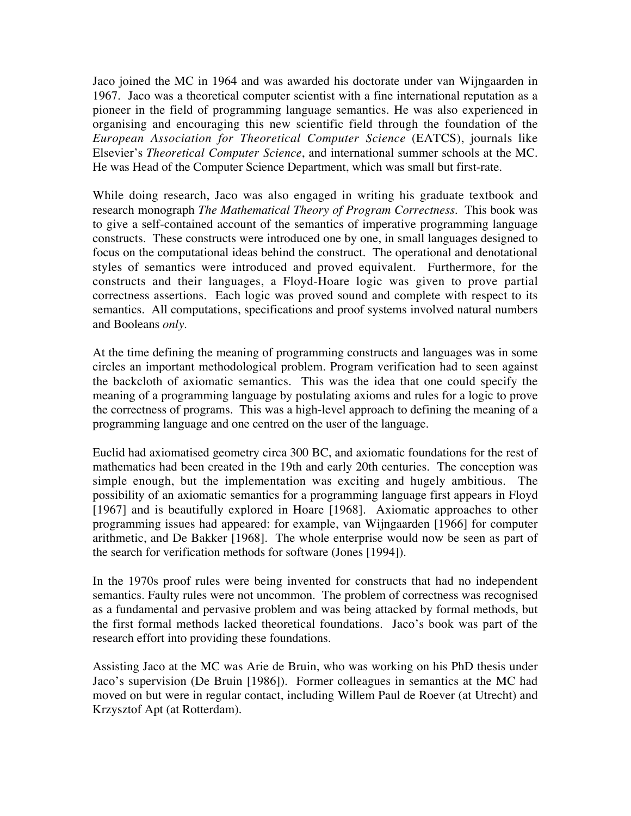Jaco joined the MC in 1964 and was awarded his doctorate under van Wijngaarden in 1967. Jaco was a theoretical computer scientist with a fine international reputation as a pioneer in the field of programming language semantics. He was also experienced in organising and encouraging this new scientific field through the foundation of the *European Association for Theoretical Computer Science* (EATCS), journals like Elsevier's *Theoretical Computer Science*, and international summer schools at the MC. He was Head of the Computer Science Department, which was small but first-rate.

While doing research, Jaco was also engaged in writing his graduate textbook and research monograph *The Mathematical Theory of Program Correctness*. This book was to give a self-contained account of the semantics of imperative programming language constructs. These constructs were introduced one by one, in small languages designed to focus on the computational ideas behind the construct. The operational and denotational styles of semantics were introduced and proved equivalent. Furthermore, for the constructs and their languages, a Floyd-Hoare logic was given to prove partial correctness assertions. Each logic was proved sound and complete with respect to its semantics. All computations, specifications and proof systems involved natural numbers and Booleans *only*.

At the time defining the meaning of programming constructs and languages was in some circles an important methodological problem. Program verification had to seen against the backcloth of axiomatic semantics. This was the idea that one could specify the meaning of a programming language by postulating axioms and rules for a logic to prove the correctness of programs. This was a high-level approach to defining the meaning of a programming language and one centred on the user of the language.

Euclid had axiomatised geometry circa 300 BC, and axiomatic foundations for the rest of mathematics had been created in the 19th and early 20th centuries. The conception was simple enough, but the implementation was exciting and hugely ambitious. The possibility of an axiomatic semantics for a programming language first appears in Floyd [1967] and is beautifully explored in Hoare [1968]. Axiomatic approaches to other programming issues had appeared: for example, van Wijngaarden [1966] for computer arithmetic, and De Bakker [1968]. The whole enterprise would now be seen as part of the search for verification methods for software (Jones [1994]).

In the 1970s proof rules were being invented for constructs that had no independent semantics. Faulty rules were not uncommon. The problem of correctness was recognised as a fundamental and pervasive problem and was being attacked by formal methods, but the first formal methods lacked theoretical foundations. Jaco's book was part of the research effort into providing these foundations.

Assisting Jaco at the MC was Arie de Bruin, who was working on his PhD thesis under Jaco's supervision (De Bruin [1986]). Former colleagues in semantics at the MC had moved on but were in regular contact, including Willem Paul de Roever (at Utrecht) and Krzysztof Apt (at Rotterdam).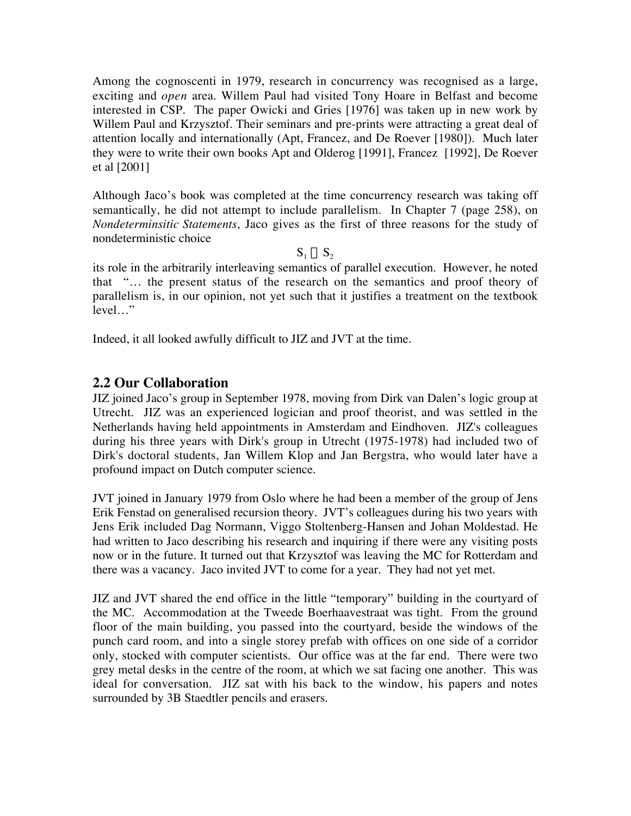Among the cognoscenti in 1979, research in concurrency was recognised as a large, exciting and *open* area. Willem Paul had visited Tony Hoare in Belfast and become interested in CSP. The paper Owicki and Gries [1976] was taken up in new work by Willem Paul and Krzysztof. Their seminars and pre-prints were attracting a great deal of attention locally and internationally (Apt, Francez, and De Roever [1980]). Much later they were to write their own books Apt and Olderog [1991], Francez [1992], De Roever et al [2001]

Although Jaco's book was completed at the time concurrency research was taking off semantically, he did not attempt to include parallelism. In Chapter 7 (page 258), on *Nondeterminsitic Statements*, Jaco gives as the first of three reasons for the study of nondeterministic choice

 $S_1 \cup S_2$ 

its role in the arbitrarily interleaving semantics of parallel execution. However, he noted that "… the present status of the research on the semantics and proof theory of parallelism is, in our opinion, not yet such that it justifies a treatment on the textbook level…"

Indeed, it all looked awfully difficult to JIZ and JVT at the time.

#### **2.2 Our Collaboration**

JIZ joined Jaco's group in September 1978, moving from Dirk van Dalen's logic group at Utrecht. JIZ was an experienced logician and proof theorist, and was settled in the Netherlands having held appointments in Amsterdam and Eindhoven. JIZ's colleagues during his three years with Dirk's group in Utrecht (1975-1978) had included two of Dirk's doctoral students, Jan Willem Klop and Jan Bergstra, who would later have a profound impact on Dutch computer science.

JVT joined in January 1979 from Oslo where he had been a member of the group of Jens Erik Fenstad on generalised recursion theory. JVT's colleagues during his two years with Jens Erik included Dag Normann, Viggo Stoltenberg-Hansen and Johan Moldestad. He had written to Jaco describing his research and inquiring if there were any visiting posts now or in the future. It turned out that Krzysztof was leaving the MC for Rotterdam and there was a vacancy. Jaco invited JVT to come for a year. They had not yet met.

JIZ and JVT shared the end office in the little "temporary" building in the courtyard of the MC. Accommodation at the Tweede Boerhaavestraat was tight. From the ground floor of the main building, you passed into the courtyard, beside the windows of the punch card room, and into a single storey prefab with offices on one side of a corridor only, stocked with computer scientists. Our office was at the far end. There were two grey metal desks in the centre of the room, at which we sat facing one another. This was ideal for conversation. JIZ sat with his back to the window, his papers and notes surrounded by 3B Staedtler pencils and erasers.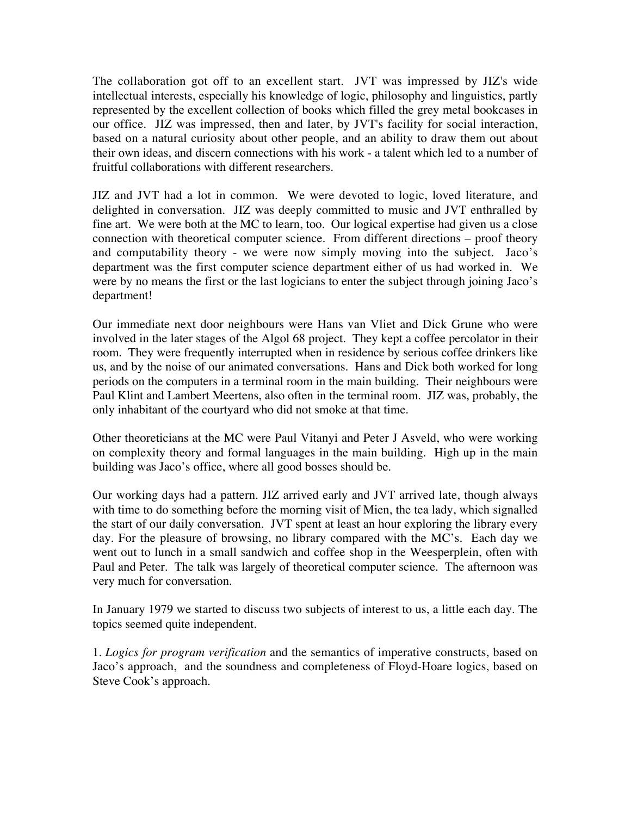The collaboration got off to an excellent start. JVT was impressed by JIZ's wide intellectual interests, especially his knowledge of logic, philosophy and linguistics, partly represented by the excellent collection of books which filled the grey metal bookcases in our office. JIZ was impressed, then and later, by JVT's facility for social interaction, based on a natural curiosity about other people, and an ability to draw them out about their own ideas, and discern connections with his work - a talent which led to a number of fruitful collaborations with different researchers.

JIZ and JVT had a lot in common. We were devoted to logic, loved literature, and delighted in conversation. JIZ was deeply committed to music and JVT enthralled by fine art. We were both at the MC to learn, too. Our logical expertise had given us a close connection with theoretical computer science. From different directions – proof theory and computability theory - we were now simply moving into the subject. Jaco's department was the first computer science department either of us had worked in. We were by no means the first or the last logicians to enter the subject through joining Jaco's department!

Our immediate next door neighbours were Hans van Vliet and Dick Grune who were involved in the later stages of the Algol 68 project. They kept a coffee percolator in their room. They were frequently interrupted when in residence by serious coffee drinkers like us, and by the noise of our animated conversations. Hans and Dick both worked for long periods on the computers in a terminal room in the main building. Their neighbours were Paul Klint and Lambert Meertens, also often in the terminal room. JIZ was, probably, the only inhabitant of the courtyard who did not smoke at that time.

Other theoreticians at the MC were Paul Vitanyi and Peter J Asveld, who were working on complexity theory and formal languages in the main building. High up in the main building was Jaco's office, where all good bosses should be.

Our working days had a pattern. JIZ arrived early and JVT arrived late, though always with time to do something before the morning visit of Mien, the tea lady, which signalled the start of our daily conversation. JVT spent at least an hour exploring the library every day. For the pleasure of browsing, no library compared with the MC's. Each day we went out to lunch in a small sandwich and coffee shop in the Weesperplein, often with Paul and Peter. The talk was largely of theoretical computer science. The afternoon was very much for conversation.

In January 1979 we started to discuss two subjects of interest to us, a little each day. The topics seemed quite independent.

1. *Logics for program verification* and the semantics of imperative constructs, based on Jaco's approach, and the soundness and completeness of Floyd-Hoare logics, based on Steve Cook's approach.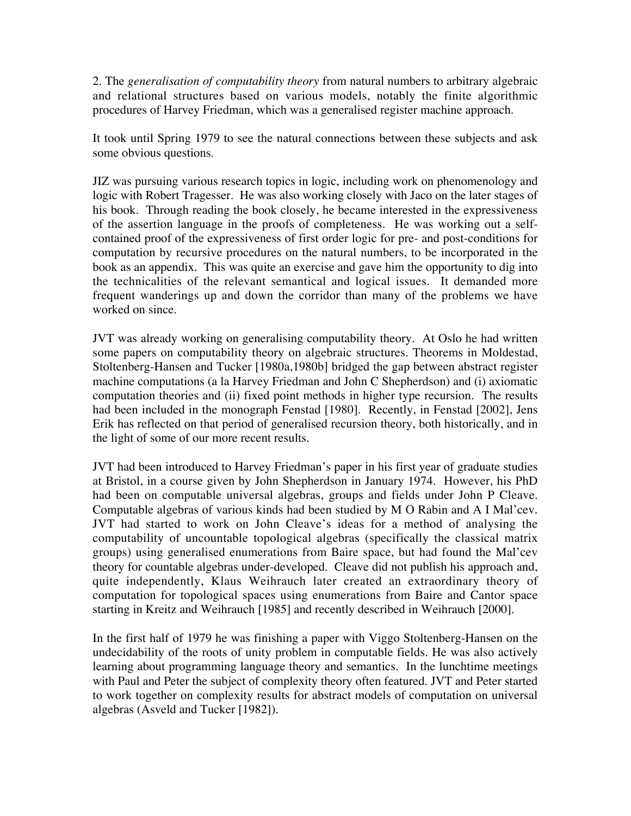2. The *generalisation of computability theory* from natural numbers to arbitrary algebraic and relational structures based on various models, notably the finite algorithmic procedures of Harvey Friedman, which was a generalised register machine approach.

It took until Spring 1979 to see the natural connections between these subjects and ask some obvious questions.

JIZ was pursuing various research topics in logic, including work on phenomenology and logic with Robert Tragesser. He was also working closely with Jaco on the later stages of his book. Through reading the book closely, he became interested in the expressiveness of the assertion language in the proofs of completeness. He was working out a selfcontained proof of the expressiveness of first order logic for pre- and post-conditions for computation by recursive procedures on the natural numbers, to be incorporated in the book as an appendix. This was quite an exercise and gave him the opportunity to dig into the technicalities of the relevant semantical and logical issues. It demanded more frequent wanderings up and down the corridor than many of the problems we have worked on since.

JVT was already working on generalising computability theory. At Oslo he had written some papers on computability theory on algebraic structures. Theorems in Moldestad, Stoltenberg-Hansen and Tucker [1980a,1980b] bridged the gap between abstract register machine computations (a la Harvey Friedman and John C Shepherdson) and (i) axiomatic computation theories and (ii) fixed point methods in higher type recursion. The results had been included in the monograph Fenstad [1980]. Recently, in Fenstad [2002], Jens Erik has reflected on that period of generalised recursion theory, both historically, and in the light of some of our more recent results.

JVT had been introduced to Harvey Friedman's paper in his first year of graduate studies at Bristol, in a course given by John Shepherdson in January 1974. However, his PhD had been on computable universal algebras, groups and fields under John P Cleave. Computable algebras of various kinds had been studied by M O Rabin and A I Mal'cev. JVT had started to work on John Cleave's ideas for a method of analysing the computability of uncountable topological algebras (specifically the classical matrix groups) using generalised enumerations from Baire space, but had found the Mal'cev theory for countable algebras under-developed. Cleave did not publish his approach and, quite independently, Klaus Weihrauch later created an extraordinary theory of computation for topological spaces using enumerations from Baire and Cantor space starting in Kreitz and Weihrauch [1985] and recently described in Weihrauch [2000].

In the first half of 1979 he was finishing a paper with Viggo Stoltenberg-Hansen on the undecidability of the roots of unity problem in computable fields. He was also actively learning about programming language theory and semantics. In the lunchtime meetings with Paul and Peter the subject of complexity theory often featured. JVT and Peter started to work together on complexity results for abstract models of computation on universal algebras (Asveld and Tucker [1982]).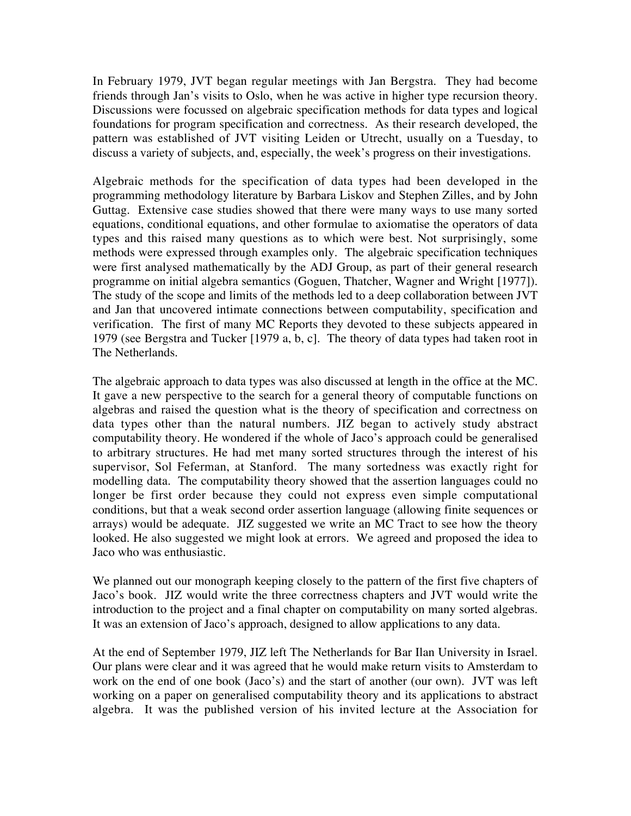In February 1979, JVT began regular meetings with Jan Bergstra. They had become friends through Jan's visits to Oslo, when he was active in higher type recursion theory. Discussions were focussed on algebraic specification methods for data types and logical foundations for program specification and correctness. As their research developed, the pattern was established of JVT visiting Leiden or Utrecht, usually on a Tuesday, to discuss a variety of subjects, and, especially, the week's progress on their investigations.

Algebraic methods for the specification of data types had been developed in the programming methodology literature by Barbara Liskov and Stephen Zilles, and by John Guttag. Extensive case studies showed that there were many ways to use many sorted equations, conditional equations, and other formulae to axiomatise the operators of data types and this raised many questions as to which were best. Not surprisingly, some methods were expressed through examples only. The algebraic specification techniques were first analysed mathematically by the ADJ Group, as part of their general research programme on initial algebra semantics (Goguen, Thatcher, Wagner and Wright [1977]). The study of the scope and limits of the methods led to a deep collaboration between JVT and Jan that uncovered intimate connections between computability, specification and verification. The first of many MC Reports they devoted to these subjects appeared in 1979 (see Bergstra and Tucker [1979 a, b, c]. The theory of data types had taken root in The Netherlands.

The algebraic approach to data types was also discussed at length in the office at the MC. It gave a new perspective to the search for a general theory of computable functions on algebras and raised the question what is the theory of specification and correctness on data types other than the natural numbers. JIZ began to actively study abstract computability theory. He wondered if the whole of Jaco's approach could be generalised to arbitrary structures. He had met many sorted structures through the interest of his supervisor, Sol Feferman, at Stanford. The many sortedness was exactly right for modelling data. The computability theory showed that the assertion languages could no longer be first order because they could not express even simple computational conditions, but that a weak second order assertion language (allowing finite sequences or arrays) would be adequate. JIZ suggested we write an MC Tract to see how the theory looked. He also suggested we might look at errors. We agreed and proposed the idea to Jaco who was enthusiastic.

We planned out our monograph keeping closely to the pattern of the first five chapters of Jaco's book. JIZ would write the three correctness chapters and JVT would write the introduction to the project and a final chapter on computability on many sorted algebras. It was an extension of Jaco's approach, designed to allow applications to any data.

At the end of September 1979, JIZ left The Netherlands for Bar Ilan University in Israel. Our plans were clear and it was agreed that he would make return visits to Amsterdam to work on the end of one book (Jaco's) and the start of another (our own). JVT was left working on a paper on generalised computability theory and its applications to abstract algebra. It was the published version of his invited lecture at the Association for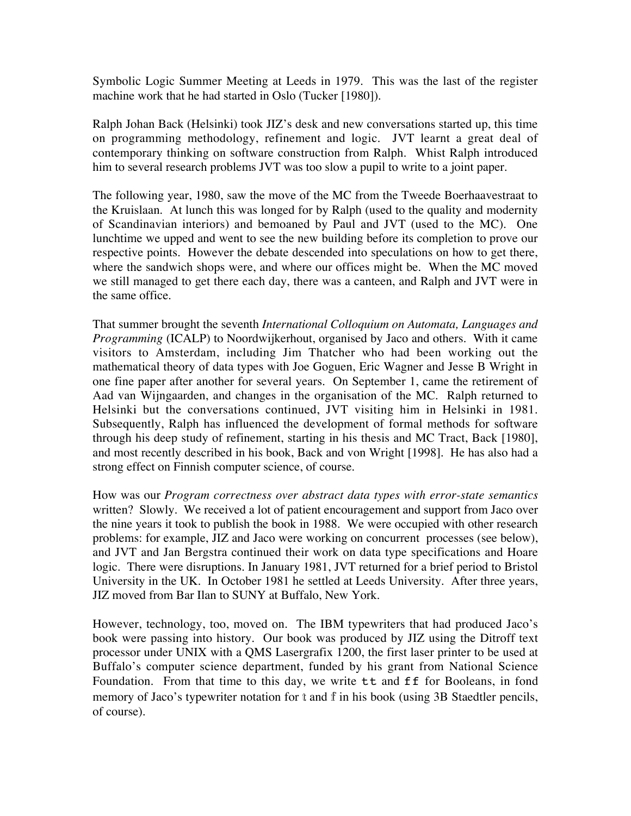Symbolic Logic Summer Meeting at Leeds in 1979. This was the last of the register machine work that he had started in Oslo (Tucker [1980]).

Ralph Johan Back (Helsinki) took JIZ's desk and new conversations started up, this time on programming methodology, refinement and logic. JVT learnt a great deal of contemporary thinking on software construction from Ralph. Whist Ralph introduced him to several research problems JVT was too slow a pupil to write to a joint paper.

The following year, 1980, saw the move of the MC from the Tweede Boerhaavestraat to the Kruislaan. At lunch this was longed for by Ralph (used to the quality and modernity of Scandinavian interiors) and bemoaned by Paul and JVT (used to the MC). One lunchtime we upped and went to see the new building before its completion to prove our respective points. However the debate descended into speculations on how to get there, where the sandwich shops were, and where our offices might be. When the MC moved we still managed to get there each day, there was a canteen, and Ralph and JVT were in the same office.

That summer brought the seventh *International Colloquium on Automata, Languages and Programming* (ICALP) to Noordwijkerhout, organised by Jaco and others. With it came visitors to Amsterdam, including Jim Thatcher who had been working out the mathematical theory of data types with Joe Goguen, Eric Wagner and Jesse B Wright in one fine paper after another for several years. On September 1, came the retirement of Aad van Wijngaarden, and changes in the organisation of the MC. Ralph returned to Helsinki but the conversations continued, JVT visiting him in Helsinki in 1981. Subsequently, Ralph has influenced the development of formal methods for software through his deep study of refinement, starting in his thesis and MC Tract, Back [1980], and most recently described in his book, Back and von Wright [1998]. He has also had a strong effect on Finnish computer science, of course.

How was our *Program correctness over abstract data types with error-state semantics* written? Slowly. We received a lot of patient encouragement and support from Jaco over the nine years it took to publish the book in 1988. We were occupied with other research problems: for example, JIZ and Jaco were working on concurrent processes (see below), and JVT and Jan Bergstra continued their work on data type specifications and Hoare logic. There were disruptions. In January 1981, JVT returned for a brief period to Bristol University in the UK. In October 1981 he settled at Leeds University. After three years, JIZ moved from Bar Ilan to SUNY at Buffalo, New York.

However, technology, too, moved on. The IBM typewriters that had produced Jaco's book were passing into history. Our book was produced by JIZ using the Ditroff text processor under UNIX with a QMS Lasergrafix 1200, the first laser printer to be used at Buffalo's computer science department, funded by his grant from National Science Foundation. From that time to this day, we write tt and ff for Booleans, in fond memory of Jaco's typewriter notation for  $t$  and  $\hat{f}$  in his book (using 3B Staedtler pencils, of course).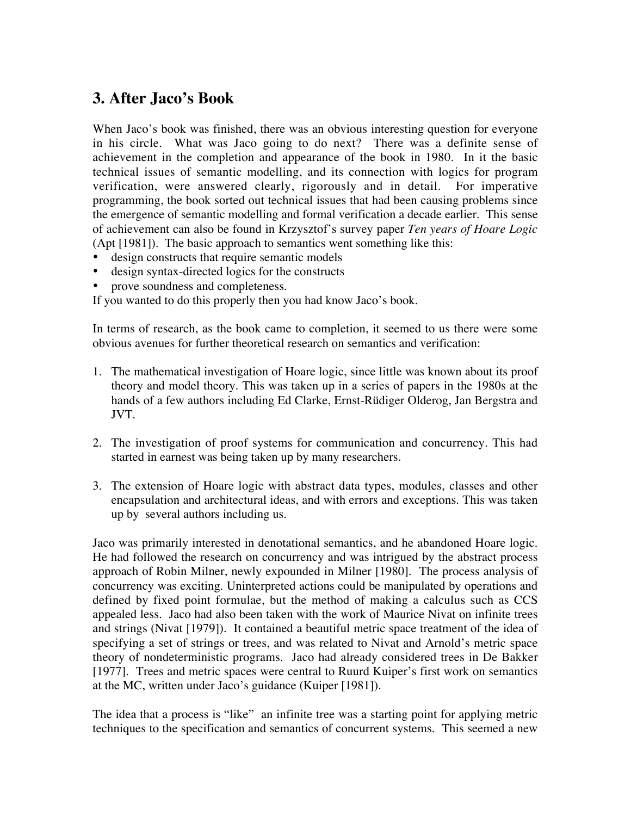## **3. After Jaco's Book**

When Jaco's book was finished, there was an obvious interesting question for everyone in his circle. What was Jaco going to do next? There was a definite sense of achievement in the completion and appearance of the book in 1980. In it the basic technical issues of semantic modelling, and its connection with logics for program verification, were answered clearly, rigorously and in detail. For imperative programming, the book sorted out technical issues that had been causing problems since the emergence of semantic modelling and formal verification a decade earlier. This sense of achievement can also be found in Krzysztof's survey paper *Ten years of Hoare Logic* (Apt [1981]). The basic approach to semantics went something like this:

design constructs that require semantic models design syntax-directed logics for the constructs prove soundness and completeness.

If you wanted to do this properly then you had know Jaco's book.

In terms of research, as the book came to completion, it seemed to us there were some obvious avenues for further theoretical research on semantics and verification:

- 1. The mathematical investigation of Hoare logic, since little was known about its proof theory and model theory. This was taken up in a series of papers in the 1980s at the hands of a few authors including Ed Clarke, Ernst-Rüdiger Olderog, Jan Bergstra and JVT.
- 2. The investigation of proof systems for communication and concurrency. This had started in earnest was being taken up by many researchers.
- 3. The extension of Hoare logic with abstract data types, modules, classes and other encapsulation and architectural ideas, and with errors and exceptions. This was taken up by several authors including us.

Jaco was primarily interested in denotational semantics, and he abandoned Hoare logic. He had followed the research on concurrency and was intrigued by the abstract process approach of Robin Milner, newly expounded in Milner [1980]. The process analysis of concurrency was exciting. Uninterpreted actions could be manipulated by operations and defined by fixed point formulae, but the method of making a calculus such as CCS appealed less. Jaco had also been taken with the work of Maurice Nivat on infinite trees and strings (Nivat [1979]). It contained a beautiful metric space treatment of the idea of specifying a set of strings or trees, and was related to Nivat and Arnold's metric space theory of nondeterministic programs. Jaco had already considered trees in De Bakker [1977]. Trees and metric spaces were central to Ruurd Kuiper's first work on semantics at the MC, written under Jaco's guidance (Kuiper [1981]).

The idea that a process is "like" an infinite tree was a starting point for applying metric techniques to the specification and semantics of concurrent systems. This seemed a new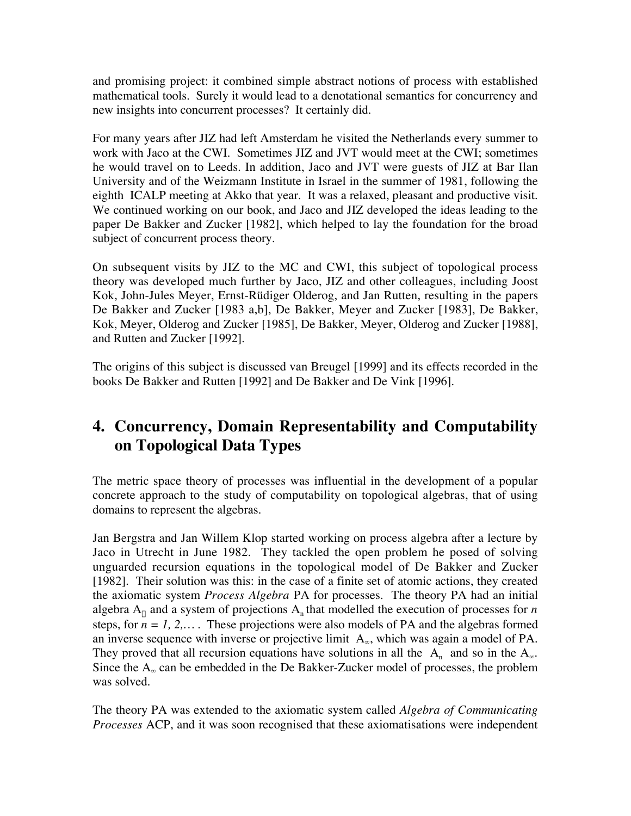and promising project: it combined simple abstract notions of process with established mathematical tools. Surely it would lead to a denotational semantics for concurrency and new insights into concurrent processes? It certainly did.

For many years after JIZ had left Amsterdam he visited the Netherlands every summer to work with Jaco at the CWI. Sometimes JIZ and JVT would meet at the CWI; sometimes he would travel on to Leeds. In addition, Jaco and JVT were guests of JIZ at Bar Ilan University and of the Weizmann Institute in Israel in the summer of 1981, following the eighth ICALP meeting at Akko that year. It was a relaxed, pleasant and productive visit. We continued working on our book, and Jaco and JIZ developed the ideas leading to the paper De Bakker and Zucker [1982], which helped to lay the foundation for the broad subject of concurrent process theory.

On subsequent visits by JIZ to the MC and CWI, this subject of topological process theory was developed much further by Jaco, JIZ and other colleagues, including Joost Kok, John-Jules Meyer, Ernst-Rüdiger Olderog, and Jan Rutten, resulting in the papers De Bakker and Zucker [1983 a,b], De Bakker, Meyer and Zucker [1983], De Bakker, Kok, Meyer, Olderog and Zucker [1985], De Bakker, Meyer, Olderog and Zucker [1988], and Rutten and Zucker [1992].

The origins of this subject is discussed van Breugel [1999] and its effects recorded in the books De Bakker and Rutten [1992] and De Bakker and De Vink [1996].

# **4. Concurrency, Domain Representability and Computability on Topological Data Types**

The metric space theory of processes was influential in the development of a popular concrete approach to the study of computability on topological algebras, that of using domains to represent the algebras.

Jan Bergstra and Jan Willem Klop started working on process algebra after a lecture by Jaco in Utrecht in June 1982. They tackled the open problem he posed of solving unguarded recursion equations in the topological model of De Bakker and Zucker [1982]. Their solution was this: in the case of a finite set of atomic actions, they created the axiomatic system *Process Algebra* PA for processes. The theory PA had an initial algebra  $A_{\omega}$  and a system of projections  $A_{\omega}$  that modelled the execution of processes for *n* steps, for  $n = 1, 2,...$  These projections were also models of PA and the algebras formed an inverse sequence with inverse or projective limit A∞, which was again a model of PA. They proved that all recursion equations have solutions in all the  $A_n$  and so in the  $A_\infty$ . Since the  $A_{\infty}$  can be embedded in the De Bakker-Zucker model of processes, the problem was solved.

The theory PA was extended to the axiomatic system called *Algebra of Communicating Processes* ACP, and it was soon recognised that these axiomatisations were independent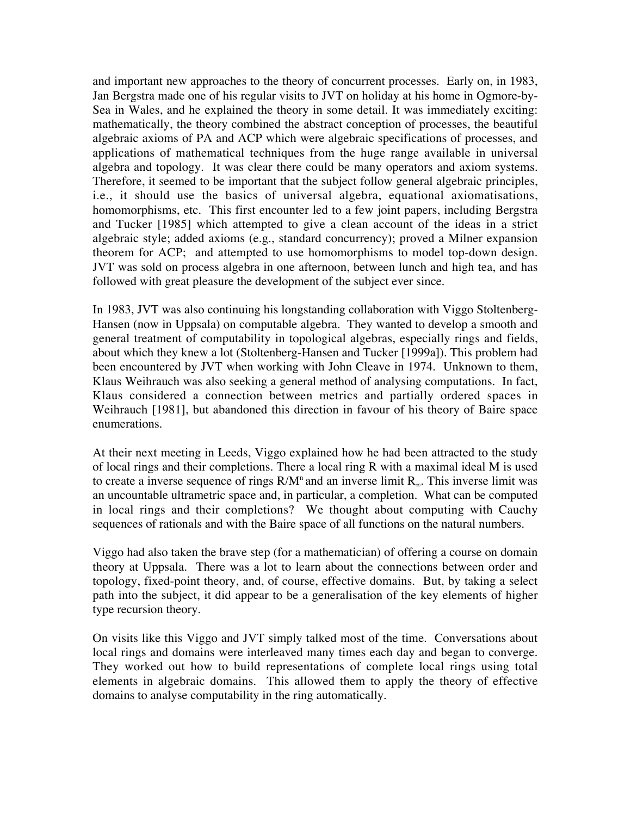and important new approaches to the theory of concurrent processes. Early on, in 1983, Jan Bergstra made one of his regular visits to JVT on holiday at his home in Ogmore-by-Sea in Wales, and he explained the theory in some detail. It was immediately exciting: mathematically, the theory combined the abstract conception of processes, the beautiful algebraic axioms of PA and ACP which were algebraic specifications of processes, and applications of mathematical techniques from the huge range available in universal algebra and topology. It was clear there could be many operators and axiom systems. Therefore, it seemed to be important that the subject follow general algebraic principles, i.e., it should use the basics of universal algebra, equational axiomatisations, homomorphisms, etc. This first encounter led to a few joint papers, including Bergstra and Tucker [1985] which attempted to give a clean account of the ideas in a strict algebraic style; added axioms (e.g., standard concurrency); proved a Milner expansion theorem for ACP; and attempted to use homomorphisms to model top-down design. JVT was sold on process algebra in one afternoon, between lunch and high tea, and has followed with great pleasure the development of the subject ever since.

In 1983, JVT was also continuing his longstanding collaboration with Viggo Stoltenberg-Hansen (now in Uppsala) on computable algebra. They wanted to develop a smooth and general treatment of computability in topological algebras, especially rings and fields, about which they knew a lot (Stoltenberg-Hansen and Tucker [1999a]). This problem had been encountered by JVT when working with John Cleave in 1974. Unknown to them, Klaus Weihrauch was also seeking a general method of analysing computations. In fact, Klaus considered a connection between metrics and partially ordered spaces in Weihrauch [1981], but abandoned this direction in favour of his theory of Baire space enumerations.

At their next meeting in Leeds, Viggo explained how he had been attracted to the study of local rings and their completions. There a local ring R with a maximal ideal M is used to create a inverse sequence of rings  $R/M^n$  and an inverse limit  $R_\infty$ . This inverse limit was an uncountable ultrametric space and, in particular, a completion. What can be computed in local rings and their completions? We thought about computing with Cauchy sequences of rationals and with the Baire space of all functions on the natural numbers.

Viggo had also taken the brave step (for a mathematician) of offering a course on domain theory at Uppsala. There was a lot to learn about the connections between order and topology, fixed-point theory, and, of course, effective domains. But, by taking a select path into the subject, it did appear to be a generalisation of the key elements of higher type recursion theory.

On visits like this Viggo and JVT simply talked most of the time. Conversations about local rings and domains were interleaved many times each day and began to converge. They worked out how to build representations of complete local rings using total elements in algebraic domains. This allowed them to apply the theory of effective domains to analyse computability in the ring automatically.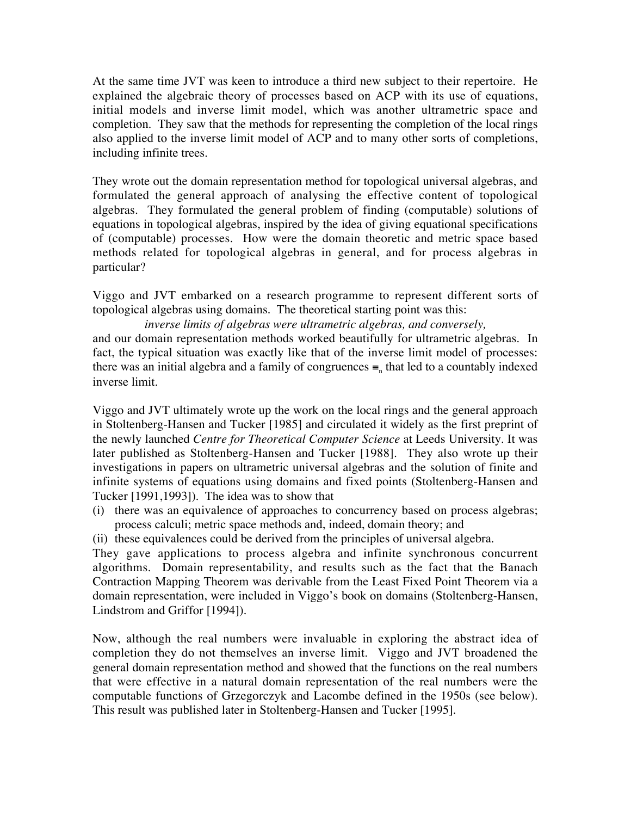At the same time JVT was keen to introduce a third new subject to their repertoire. He explained the algebraic theory of processes based on ACP with its use of equations, initial models and inverse limit model, which was another ultrametric space and completion. They saw that the methods for representing the completion of the local rings also applied to the inverse limit model of ACP and to many other sorts of completions, including infinite trees.

They wrote out the domain representation method for topological universal algebras, and formulated the general approach of analysing the effective content of topological algebras. They formulated the general problem of finding (computable) solutions of equations in topological algebras, inspired by the idea of giving equational specifications of (computable) processes. How were the domain theoretic and metric space based methods related for topological algebras in general, and for process algebras in particular?

Viggo and JVT embarked on a research programme to represent different sorts of topological algebras using domains. The theoretical starting point was this:

*inverse limits of algebras were ultrametric algebras, and conversely,* and our domain representation methods worked beautifully for ultrametric algebras. In fact, the typical situation was exactly like that of the inverse limit model of processes: there was an initial algebra and a family of congruences  $\equiv$  that led to a countably indexed inverse limit.

Viggo and JVT ultimately wrote up the work on the local rings and the general approach in Stoltenberg-Hansen and Tucker [1985] and circulated it widely as the first preprint of the newly launched *Centre for Theoretical Computer Science* at Leeds University. It was later published as Stoltenberg-Hansen and Tucker [1988]. They also wrote up their investigations in papers on ultrametric universal algebras and the solution of finite and infinite systems of equations using domains and fixed points (Stoltenberg-Hansen and Tucker [1991,1993]). The idea was to show that

(i) there was an equivalence of approaches to concurrency based on process algebras; process calculi; metric space methods and, indeed, domain theory; and

(ii) these equivalences could be derived from the principles of universal algebra.

They gave applications to process algebra and infinite synchronous concurrent algorithms. Domain representability, and results such as the fact that the Banach Contraction Mapping Theorem was derivable from the Least Fixed Point Theorem via a domain representation, were included in Viggo's book on domains (Stoltenberg-Hansen, Lindstrom and Griffor [1994]).

Now, although the real numbers were invaluable in exploring the abstract idea of completion they do not themselves an inverse limit. Viggo and JVT broadened the general domain representation method and showed that the functions on the real numbers that were effective in a natural domain representation of the real numbers were the computable functions of Grzegorczyk and Lacombe defined in the 1950s (see below). This result was published later in Stoltenberg-Hansen and Tucker [1995].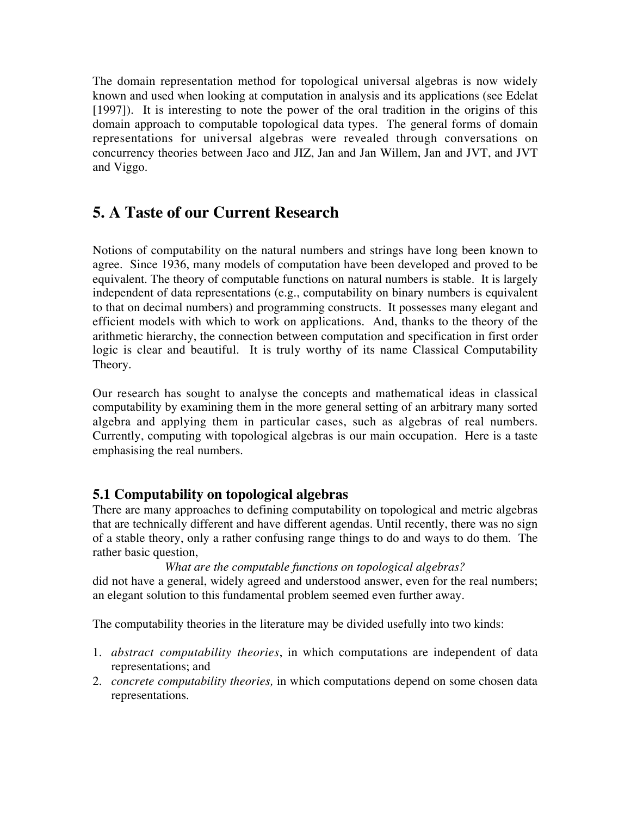The domain representation method for topological universal algebras is now widely known and used when looking at computation in analysis and its applications (see Edelat [1997]). It is interesting to note the power of the oral tradition in the origins of this domain approach to computable topological data types. The general forms of domain representations for universal algebras were revealed through conversations on concurrency theories between Jaco and JIZ, Jan and Jan Willem, Jan and JVT, and JVT and Viggo.

## **5. A Taste of our Current Research**

Notions of computability on the natural numbers and strings have long been known to agree. Since 1936, many models of computation have been developed and proved to be equivalent. The theory of computable functions on natural numbers is stable. It is largely independent of data representations (e.g., computability on binary numbers is equivalent to that on decimal numbers) and programming constructs. It possesses many elegant and efficient models with which to work on applications. And, thanks to the theory of the arithmetic hierarchy, the connection between computation and specification in first order logic is clear and beautiful. It is truly worthy of its name Classical Computability Theory.

Our research has sought to analyse the concepts and mathematical ideas in classical computability by examining them in the more general setting of an arbitrary many sorted algebra and applying them in particular cases, such as algebras of real numbers. Currently, computing with topological algebras is our main occupation. Here is a taste emphasising the real numbers.

#### **5.1 Computability on topological algebras**

There are many approaches to defining computability on topological and metric algebras that are technically different and have different agendas. Until recently, there was no sign of a stable theory, only a rather confusing range things to do and ways to do them. The rather basic question,

#### *What are the computable functions on topological algebras?*

did not have a general, widely agreed and understood answer, even for the real numbers; an elegant solution to this fundamental problem seemed even further away.

The computability theories in the literature may be divided usefully into two kinds:

- 1. *abstract computability theories*, in which computations are independent of data representations; and
- 2. *concrete computability theories,* in which computations depend on some chosen data representations.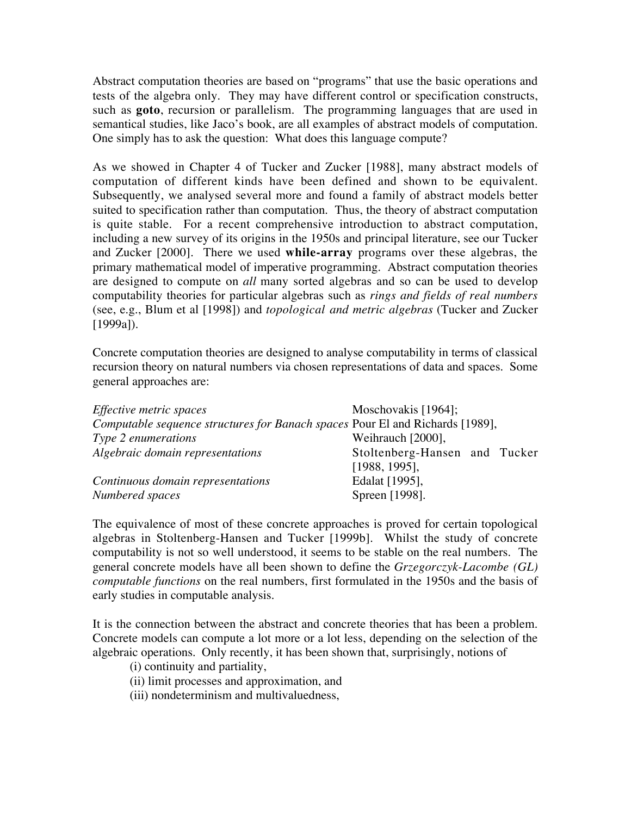Abstract computation theories are based on "programs" that use the basic operations and tests of the algebra only. They may have different control or specification constructs, such as **goto**, recursion or parallelism. The programming languages that are used in semantical studies, like Jaco's book, are all examples of abstract models of computation. One simply has to ask the question: What does this language compute?

As we showed in Chapter 4 of Tucker and Zucker [1988], many abstract models of computation of different kinds have been defined and shown to be equivalent. Subsequently, we analysed several more and found a family of abstract models better suited to specification rather than computation. Thus, the theory of abstract computation is quite stable. For a recent comprehensive introduction to abstract computation, including a new survey of its origins in the 1950s and principal literature, see our Tucker and Zucker [2000]. There we used **while-array** programs over these algebras, the primary mathematical model of imperative programming. Abstract computation theories are designed to compute on *all* many sorted algebras and so can be used to develop computability theories for particular algebras such as *rings and fields of real numbers* (see, e.g., Blum et al [1998]) and *topological and metric algebras* (Tucker and Zucker [1999a]).

Concrete computation theories are designed to analyse computability in terms of classical recursion theory on natural numbers via chosen representations of data and spaces. Some general approaches are:

| <i>Effective metric spaces</i>                                                | Moschovakis $[1964]$ ;        |
|-------------------------------------------------------------------------------|-------------------------------|
| Computable sequence structures for Banach spaces Pour El and Richards [1989], |                               |
| Type 2 enumerations                                                           | Weihrauch [2000],             |
| Algebraic domain representations                                              | Stoltenberg-Hansen and Tucker |
|                                                                               | [1988, 1995],                 |
| Continuous domain representations                                             | Edalat [1995],                |
| Numbered spaces                                                               | Spreen [1998].                |

The equivalence of most of these concrete approaches is proved for certain topological algebras in Stoltenberg-Hansen and Tucker [1999b]. Whilst the study of concrete computability is not so well understood, it seems to be stable on the real numbers. The general concrete models have all been shown to define the *Grzegorczyk-Lacombe (GL) computable functions* on the real numbers, first formulated in the 1950s and the basis of early studies in computable analysis.

It is the connection between the abstract and concrete theories that has been a problem. Concrete models can compute a lot more or a lot less, depending on the selection of the algebraic operations. Only recently, it has been shown that, surprisingly, notions of

(i) continuity and partiality,

(ii) limit processes and approximation, and

(iii) nondeterminism and multivaluedness,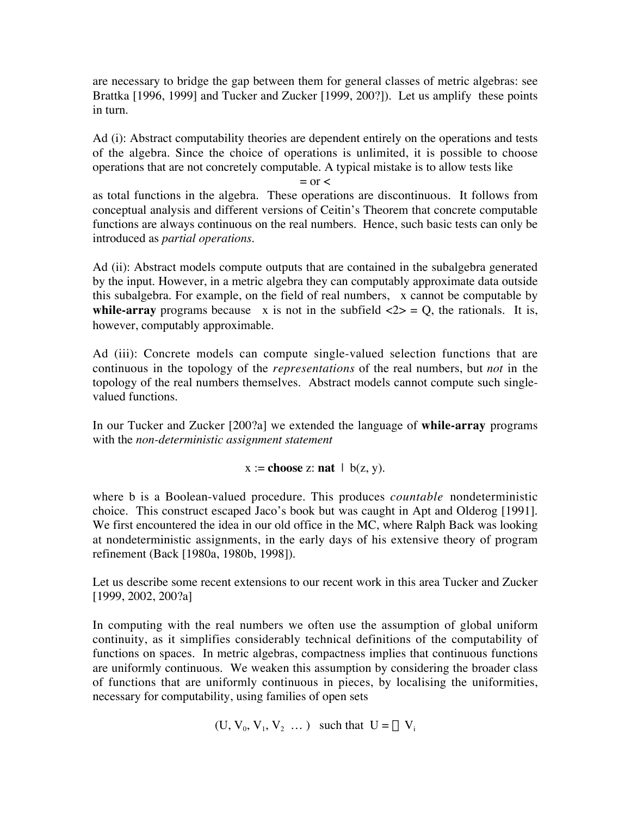are necessary to bridge the gap between them for general classes of metric algebras: see Brattka [1996, 1999] and Tucker and Zucker [1999, 200?]). Let us amplify these points in turn.

Ad (i): Abstract computability theories are dependent entirely on the operations and tests of the algebra. Since the choice of operations is unlimited, it is possible to choose operations that are not concretely computable. A typical mistake is to allow tests like

 $=$  or  $<$ 

as total functions in the algebra. These operations are discontinuous. It follows from conceptual analysis and different versions of Ceitin's Theorem that concrete computable functions are always continuous on the real numbers. Hence, such basic tests can only be introduced as *partial operations*.

Ad (ii): Abstract models compute outputs that are contained in the subalgebra generated by the input. However, in a metric algebra they can computably approximate data outside this subalgebra. For example, on the field of real numbers,  $\sqrt{x}$  cannot be computable by **while-array** programs because  $\sqrt{x}$  is not in the subfield  $\ll 2$  = Q, the rationals. It is, however, computably approximable.

Ad (iii): Concrete models can compute single-valued selection functions that are continuous in the topology of the *representations* of the real numbers, but *not* in the topology of the real numbers themselves. Abstract models cannot compute such singlevalued functions.

In our Tucker and Zucker [200?a] we extended the language of **while-array** programs with the *non-deterministic assignment statement*

 $x :=$  **choose** z: **nat**  $\mid$  **b**(z, y).

where b is a Boolean-valued procedure. This produces *countable* nondeterministic choice. This construct escaped Jaco's book but was caught in Apt and Olderog [1991]. We first encountered the idea in our old office in the MC, where Ralph Back was looking at nondeterministic assignments, in the early days of his extensive theory of program refinement (Back [1980a, 1980b, 1998]).

Let us describe some recent extensions to our recent work in this area Tucker and Zucker [1999, 2002, 200?a]

In computing with the real numbers we often use the assumption of global uniform continuity, as it simplifies considerably technical definitions of the computability of functions on spaces. In metric algebras, compactness implies that continuous functions are uniformly continuous. We weaken this assumption by considering the broader class of functions that are uniformly continuous in pieces, by localising the uniformities, necessary for computability, using families of open sets

 $(U, V_0, V_1, V_2, \dots)$  such that  $U = \cup V_i$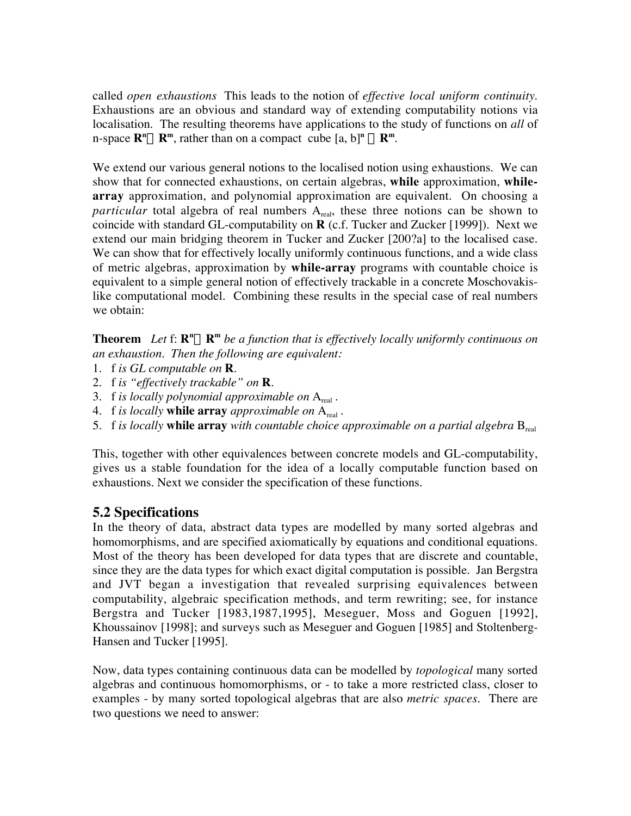called *open exhaustions* This leads to the notion of *effective local uniform continuity*. Exhaustions are an obvious and standard way of extending computability notions via localisation. The resulting theorems have applications to the study of functions on *all* of  $R^m \rightarrow R^m$ , rather than on a compact cube  $[a, b]^n \rightarrow R^m$ .

We extend our various general notions to the localised notion using exhaustions. We can show that for connected exhaustions, on certain algebras, **while** approximation, **whilearray** approximation, and polynomial approximation are equivalent. On choosing a *particular* total algebra of real numbers A<sub>real</sub>, these three notions can be shown to coincide with standard GL-computability on **R** (c.f. Tucker and Zucker [1999]). Next we extend our main bridging theorem in Tucker and Zucker [200?a] to the localised case. We can show that for effectively locally uniformly continuous functions, and a wide class of metric algebras, approximation by **while-array** programs with countable choice is equivalent to a simple general notion of effectively trackable in a concrete Moschovakislike computational model. Combining these results in the special case of real numbers we obtain:

**Theorem** Let  $f: \mathbb{R}^n \to \mathbb{R}^m$  be a function that is effectively locally uniformly continuous on *an exhaustion. Then the following are equivalent:*

- 1. f *is GL computable on* **R**.
- 2. f *is "effectively trackable" on* **R**.
- 3. f *is locally polynomial approximable on* Areal .
- 4. f *is locally* **while array** *approximable on* Areal .
- 5. f *is locally* **while array** *with countable choice approximable on a partial algebra*  $B_{\text{real}}$

This, together with other equivalences between concrete models and GL-computability, gives us a stable foundation for the idea of a locally computable function based on exhaustions. Next we consider the specification of these functions.

#### **5.2 Specifications**

In the theory of data, abstract data types are modelled by many sorted algebras and homomorphisms, and are specified axiomatically by equations and conditional equations. Most of the theory has been developed for data types that are discrete and countable, since they are the data types for which exact digital computation is possible. Jan Bergstra and JVT began a investigation that revealed surprising equivalences between computability, algebraic specification methods, and term rewriting; see, for instance Bergstra and Tucker [1983,1987,1995], Meseguer, Moss and Goguen [1992], Khoussainov [1998]; and surveys such as Meseguer and Goguen [1985] and Stoltenberg-Hansen and Tucker [1995].

Now, data types containing continuous data can be modelled by *topological* many sorted algebras and continuous homomorphisms, or - to take a more restricted class, closer to examples - by many sorted topological algebras that are also *metric spaces*. There are two questions we need to answer: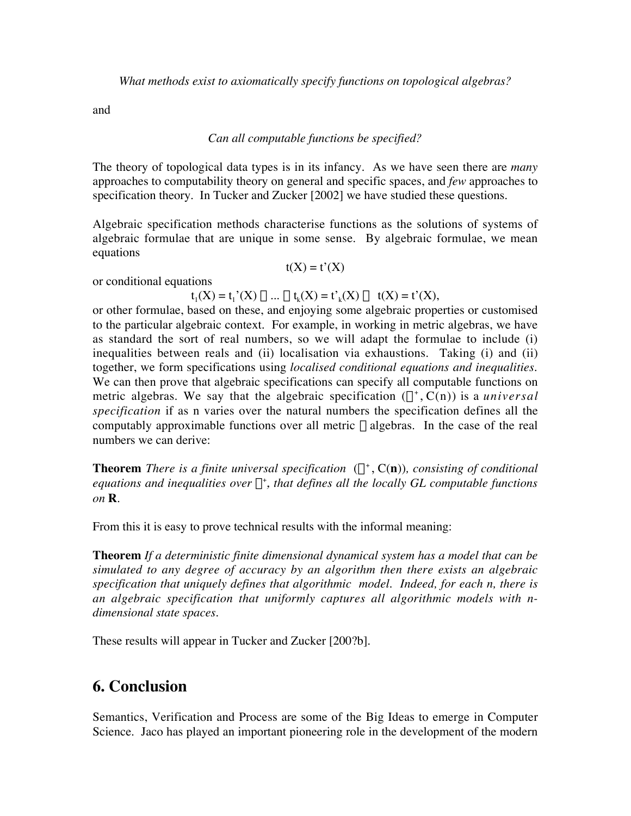*What methods exist to axiomatically specify functions on topological algebras?*

and

#### *Can all computable functions be specified?*

The theory of topological data types is in its infancy. As we have seen there are *many* approaches to computability theory on general and specific spaces, and *few* approaches to specification theory. In Tucker and Zucker [2002] we have studied these questions.

Algebraic specification methods characterise functions as the solutions of systems of algebraic formulae that are unique in some sense. By algebraic formulae, we mean equations

 $t(X) = t'(X)$ 

or conditional equations

 $t_1(X) = t_1'(X) \wedge ... \wedge t_k(X) = t'_k(X) \rightarrow t(X) = t'(X),$ 

or other formulae, based on these, and enjoying some algebraic properties or customised to the particular algebraic context. For example, in working in metric algebras, we have as standard the sort of real numbers, so we will adapt the formulae to include (i) inequalities between reals and (ii) localisation via exhaustions. Taking (i) and (ii) together, we form specifications using *localised conditional equations and inequalities*. We can then prove that algebraic specifications can specify all computable functions on metric algebras. We say that the algebraic specification  $(\Sigma^+, C(n))$  is a *universal specification* if as n varies over the natural numbers the specification defines all the computably approximable functions over all metric  $\Sigma$  algebras. In the case of the real numbers we can derive:

**Theorem** *There is a finite universal specification*  $(\Sigma^+, C(n))$ *, consisting of conditional*  $e$ quations and inequalities over  $\Sigma^{+}$ , that defines all the locally GL computable functions *on* **R**.

From this it is easy to prove technical results with the informal meaning:

**Theorem** *If a deterministic finite dimensional dynamical system has a model that can be simulated to any degree of accuracy by an algorithm then there exists an algebraic specification that uniquely defines that algorithmic model. Indeed, for each n, there is an algebraic specification that uniformly captures all algorithmic models with ndimensional state spaces.*

These results will appear in Tucker and Zucker [200?b].

#### **6. Conclusion**

Semantics, Verification and Process are some of the Big Ideas to emerge in Computer Science. Jaco has played an important pioneering role in the development of the modern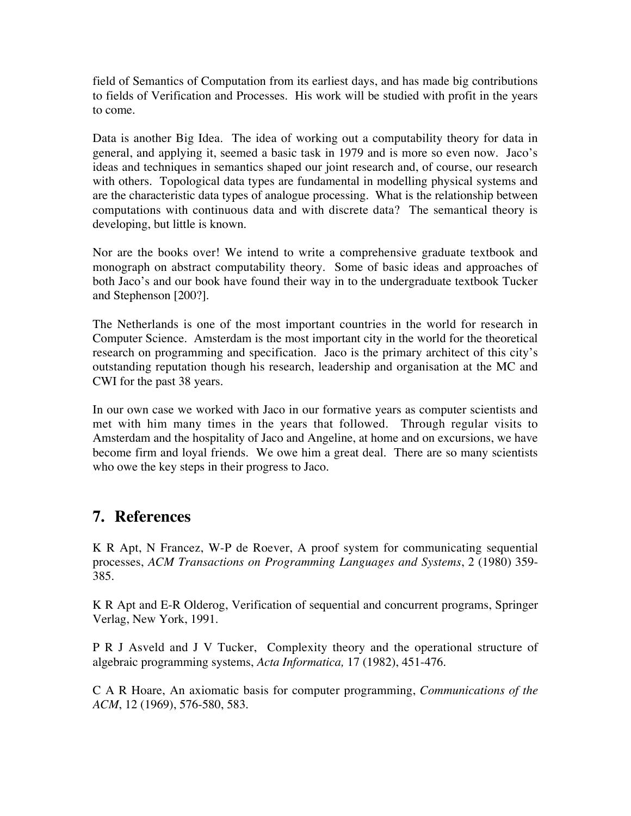field of Semantics of Computation from its earliest days, and has made big contributions to fields of Verification and Processes. His work will be studied with profit in the years to come.

Data is another Big Idea. The idea of working out a computability theory for data in general, and applying it, seemed a basic task in 1979 and is more so even now. Jaco's ideas and techniques in semantics shaped our joint research and, of course, our research with others. Topological data types are fundamental in modelling physical systems and are the characteristic data types of analogue processing. What is the relationship between computations with continuous data and with discrete data? The semantical theory is developing, but little is known.

Nor are the books over! We intend to write a comprehensive graduate textbook and monograph on abstract computability theory. Some of basic ideas and approaches of both Jaco's and our book have found their way in to the undergraduate textbook Tucker and Stephenson [200?].

The Netherlands is one of the most important countries in the world for research in Computer Science. Amsterdam is the most important city in the world for the theoretical research on programming and specification. Jaco is the primary architect of this city's outstanding reputation though his research, leadership and organisation at the MC and CWI for the past 38 years.

In our own case we worked with Jaco in our formative years as computer scientists and met with him many times in the years that followed. Through regular visits to Amsterdam and the hospitality of Jaco and Angeline, at home and on excursions, we have become firm and loyal friends. We owe him a great deal. There are so many scientists who owe the key steps in their progress to Jaco.

### **7. References**

K R Apt, N Francez, W-P de Roever, A proof system for communicating sequential processes, *ACM Transactions on Programming Languages and Systems*, 2 (1980) 359- 385.

K R Apt and E-R Olderog, Verification of sequential and concurrent programs, Springer Verlag, New York, 1991.

P R J Asveld and J V Tucker, Complexity theory and the operational structure of algebraic programming systems, *Acta Informatica,* 17 (1982), 451-476.

C A R Hoare, An axiomatic basis for computer programming, *Communications of the ACM*, 12 (1969), 576-580, 583.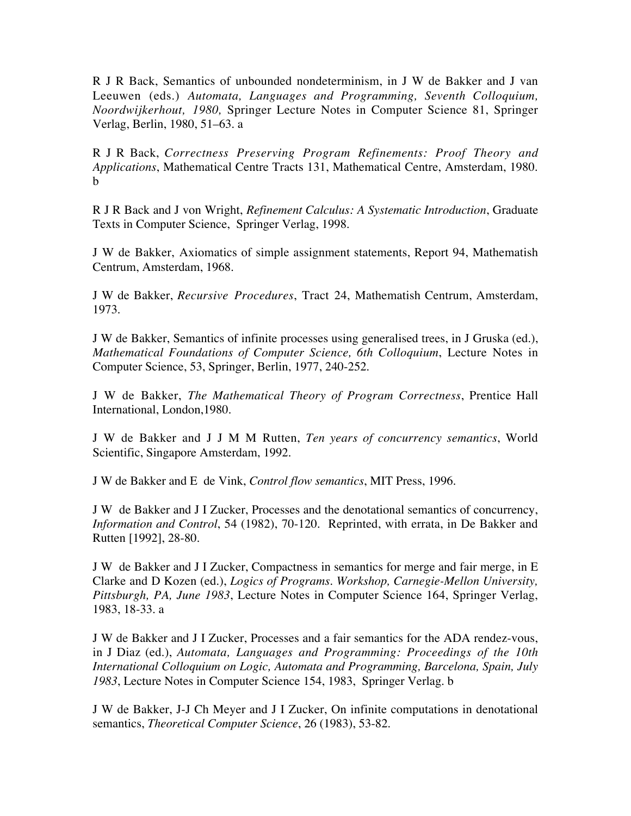R J R Back, Semantics of unbounded nondeterminism, in J W de Bakker and J van Leeuwen (eds.) *Automata, Languages and Programming, Seventh Colloquium, Noordwijkerhout, 1980,* Springer Lecture Notes in Computer Science 81, Springer Verlag, Berlin, 1980, 51–63. a

R J R Back, *Correctness Preserving Program Refinements: Proof Theory and Applications*, Mathematical Centre Tracts 131, Mathematical Centre, Amsterdam, 1980. b

R J R Back and J von Wright, *Refinement Calculus: A Systematic Introduction*, Graduate Texts in Computer Science, Springer Verlag, 1998.

J W de Bakker, Axiomatics of simple assignment statements, Report 94, Mathematish Centrum, Amsterdam, 1968.

J W de Bakker, *Recursive Procedures*, Tract 24, Mathematish Centrum, Amsterdam, 1973.

J W de Bakker, Semantics of infinite processes using generalised trees, in J Gruska (ed.), *Mathematical Foundations of Computer Science, 6th Colloquium*, Lecture Notes in Computer Science, 53, Springer, Berlin, 1977, 240-252.

J W de Bakker, *The Mathematical Theory of Program Correctness*, Prentice Hall International, London,1980.

J W de Bakker and J J M M Rutten, *Ten years of concurrency semantics*, World Scientific, Singapore Amsterdam, 1992.

J W de Bakker and E de Vink, *Control flow semantics*, MIT Press, 1996.

J W de Bakker and J I Zucker, Processes and the denotational semantics of concurrency, *Information and Control*, 54 (1982), 70-120. Reprinted, with errata, in De Bakker and Rutten [1992], 28-80.

J W de Bakker and J I Zucker, Compactness in semantics for merge and fair merge, in E Clarke and D Kozen (ed.), *Logics of Programs. Workshop, Carnegie-Mellon University, Pittsburgh, PA, June 1983*, Lecture Notes in Computer Science 164, Springer Verlag, 1983, 18-33. a

J W de Bakker and J I Zucker, Processes and a fair semantics for the ADA rendez-vous, in J Diaz (ed.), *Automata, Languages and Programming: Proceedings of the 10th International Colloquium on Logic, Automata and Programming, Barcelona, Spain, July 1983*, Lecture Notes in Computer Science 154, 1983, Springer Verlag. b

J W de Bakker, J-J Ch Meyer and J I Zucker, On infinite computations in denotational semantics, *Theoretical Computer Science*, 26 (1983), 53-82.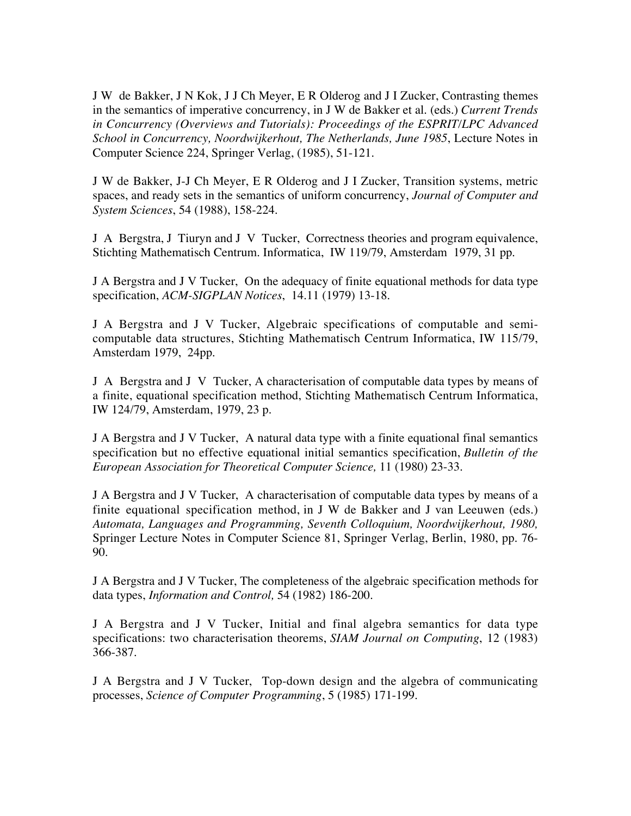J W de Bakker, J N Kok, J J Ch Meyer, E R Olderog and J I Zucker, Contrasting themes in the semantics of imperative concurrency, in J W de Bakker et al. (eds.) *Current Trends in Concurrency (Overviews and Tutorials): Proceedings of the ESPRIT/LPC Advanced School in Concurrency, Noordwijkerhout, The Netherlands, June 1985*, Lecture Notes in Computer Science 224, Springer Verlag, (1985), 51-121.

J W de Bakker, J-J Ch Meyer, E R Olderog and J I Zucker, Transition systems, metric spaces, and ready sets in the semantics of uniform concurrency, *Journal of Computer and System Sciences*, 54 (1988), 158-224.

J A Bergstra, J Tiuryn and J V Tucker, Correctness theories and program equivalence, Stichting Mathematisch Centrum. Informatica, IW 119/79, Amsterdam 1979, 31 pp.

J A Bergstra and J V Tucker, On the adequacy of finite equational methods for data type specification, *ACM-SIGPLAN Notices*, 14.11 (1979) 13-18.

J A Bergstra and J V Tucker, Algebraic specifications of computable and semicomputable data structures, Stichting Mathematisch Centrum Informatica, IW 115/79, Amsterdam 1979, 24pp.

J A Bergstra and J V Tucker, A characterisation of computable data types by means of a finite, equational specification method, Stichting Mathematisch Centrum Informatica, IW 124/79, Amsterdam, 1979, 23 p.

J A Bergstra and J V Tucker, A natural data type with a finite equational final semantics specification but no effective equational initial semantics specification, *Bulletin of the European Association for Theoretical Computer Science,* 11 (1980) 23-33.

J A Bergstra and J V Tucker, A characterisation of computable data types by means of a finite equational specification method, in J W de Bakker and J van Leeuwen (eds.) *Automata, Languages and Programming, Seventh Colloquium, Noordwijkerhout, 1980,* Springer Lecture Notes in Computer Science 81, Springer Verlag, Berlin, 1980, pp. 76- 90.

J A Bergstra and J V Tucker, The completeness of the algebraic specification methods for data types, *Information and Control,* 54 (1982) 186-200.

J A Bergstra and J V Tucker, Initial and final algebra semantics for data type specifications: two characterisation theorems, *SIAM Journal on Computing*, 12 (1983) 366-387.

J A Bergstra and J V Tucker, Top-down design and the algebra of communicating processes, *Science of Computer Programming*, 5 (1985) 171-199.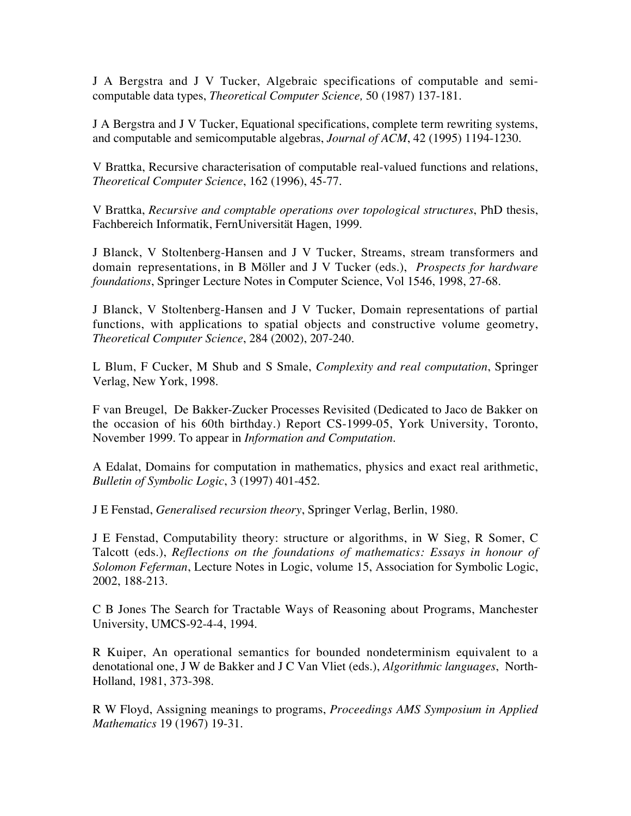J A Bergstra and J V Tucker, Algebraic specifications of computable and semicomputable data types, *Theoretical Computer Science,* 50 (1987) 137-181.

J A Bergstra and J V Tucker, Equational specifications, complete term rewriting systems, and computable and semicomputable algebras, *Journal of ACM*, 42 (1995) 1194-1230.

V Brattka, Recursive characterisation of computable real-valued functions and relations, *Theoretical Computer Science*, 162 (1996), 45-77.

V Brattka, *Recursive and comptable operations over topological structures*, PhD thesis, Fachbereich Informatik, FernUniversität Hagen, 1999.

J Blanck, V Stoltenberg-Hansen and J V Tucker, Streams, stream transformers and domain representations, in B Möller and J V Tucker (eds.), *Prospects for hardware foundations*, Springer Lecture Notes in Computer Science, Vol 1546, 1998, 27-68.

J Blanck, V Stoltenberg-Hansen and J V Tucker, Domain representations of partial functions, with applications to spatial objects and constructive volume geometry, *Theoretical Computer Science*, 284 (2002), 207-240.

L Blum, F Cucker, M Shub and S Smale, *Complexity and real computation*, Springer Verlag, New York, 1998.

F van Breugel, De Bakker-Zucker Processes Revisited (Dedicated to Jaco de Bakker on the occasion of his 60th birthday.) Report CS-1999-05, York University, Toronto, November 1999. To appear in *Information and Computation*.

A Edalat, Domains for computation in mathematics, physics and exact real arithmetic, *Bulletin of Symbolic Logic*, 3 (1997) 401-452.

J E Fenstad, *Generalised recursion theory*, Springer Verlag, Berlin, 1980.

J E Fenstad, Computability theory: structure or algorithms, in W Sieg, R Somer, C Talcott (eds.), *Reflections on the foundations of mathematics: Essays in honour of Solomon Feferman*, Lecture Notes in Logic, volume 15, Association for Symbolic Logic, 2002, 188-213.

C B Jones The Search for Tractable Ways of Reasoning about Programs, Manchester University, UMCS-92-4-4, 1994.

R Kuiper, An operational semantics for bounded nondeterminism equivalent to a denotational one, J W de Bakker and J C Van Vliet (eds.), *Algorithmic languages*, North-Holland, 1981, 373-398.

R W Floyd, Assigning meanings to programs, *Proceedings AMS Symposium in Applied Mathematics* 19 (1967) 19-31.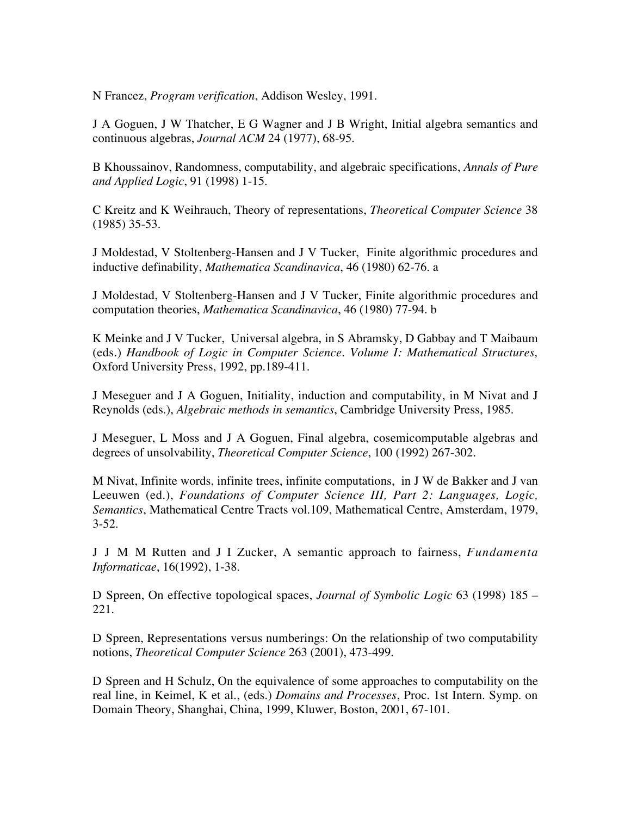N Francez, *Program verification*, Addison Wesley, 1991.

J A Goguen, J W Thatcher, E G Wagner and J B Wright, Initial algebra semantics and continuous algebras, *Journal ACM* 24 (1977), 68-95.

B Khoussainov, Randomness, computability, and algebraic specifications, *Annals of Pure and Applied Logic*, 91 (1998) 1-15.

C Kreitz and K Weihrauch, Theory of representations, *Theoretical Computer Science* 38 (1985) 35-53.

J Moldestad, V Stoltenberg-Hansen and J V Tucker, Finite algorithmic procedures and inductive definability, *Mathematica Scandinavica*, 46 (1980) 62-76. a

J Moldestad, V Stoltenberg-Hansen and J V Tucker, Finite algorithmic procedures and computation theories, *Mathematica Scandinavica*, 46 (1980) 77-94. b

K Meinke and J V Tucker, Universal algebra, in S Abramsky, D Gabbay and T Maibaum (eds.) *Handbook of Logic in Computer Science. Volume I: Mathematical Structures,* Oxford University Press, 1992, pp.189-411.

J Meseguer and J A Goguen, Initiality, induction and computability, in M Nivat and J Reynolds (eds.), *Algebraic methods in semantics*, Cambridge University Press, 1985.

J Meseguer, L Moss and J A Goguen, Final algebra, cosemicomputable algebras and degrees of unsolvability, *Theoretical Computer Science*, 100 (1992) 267-302.

M Nivat, Infinite words, infinite trees, infinite computations, in J W de Bakker and J van Leeuwen (ed.), *Foundations of Computer Science III, Part 2: Languages, Logic, Semantics*, Mathematical Centre Tracts vol.109, Mathematical Centre, Amsterdam, 1979,  $3-52.$ 

J J M M Rutten and J I Zucker, A semantic approach to fairness, *Fundamenta Informaticae*, 16(1992), 1-38.

D Spreen, On effective topological spaces, *Journal of Symbolic Logic* 63 (1998) 185 – 221.

D Spreen, Representations versus numberings: On the relationship of two computability notions, *Theoretical Computer Science* 263 (2001), 473-499.

D Spreen and H Schulz, On the equivalence of some approaches to computability on the real line, in Keimel, K et al., (eds.) *Domains and Processes*, Proc. 1st Intern. Symp. on Domain Theory, Shanghai, China, 1999, Kluwer, Boston, 2001, 67-101.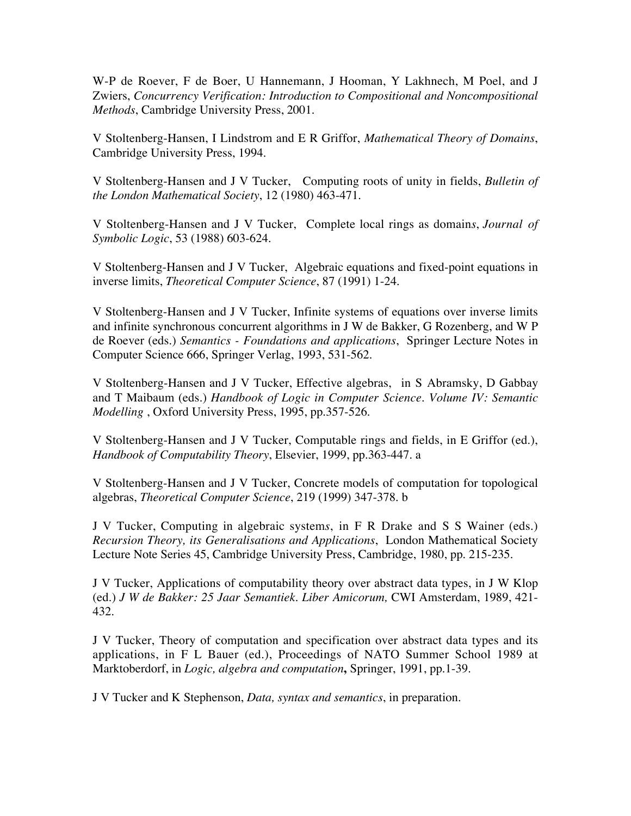W-P de Roever, F de Boer, U Hannemann, J Hooman, Y Lakhnech, M Poel, and J Zwiers, *Concurrency Verification: Introduction to Compositional and Noncompositional Methods*, Cambridge University Press, 2001.

V Stoltenberg-Hansen, I Lindstrom and E R Griffor, *Mathematical Theory of Domains*, Cambridge University Press, 1994.

V Stoltenberg-Hansen and J V Tucker, Computing roots of unity in fields, *Bulletin of the London Mathematical Society*, 12 (1980) 463-471.

V Stoltenberg-Hansen and J V Tucker, Complete local rings as domain*s*, *Journal of Symbolic Logic*, 53 (1988) 603-624.

V Stoltenberg-Hansen and J V Tucker, Algebraic equations and fixed-point equations in inverse limits, *Theoretical Computer Science*, 87 (1991) 1-24.

V Stoltenberg-Hansen and J V Tucker, Infinite systems of equations over inverse limits and infinite synchronous concurrent algorithms in J W de Bakker, G Rozenberg, and W P de Roever (eds.) *Semantics - Foundations and applications*, Springer Lecture Notes in Computer Science 666, Springer Verlag, 1993, 531-562.

V Stoltenberg-Hansen and J V Tucker, Effective algebras, in S Abramsky, D Gabbay and T Maibaum (eds.) *Handbook of Logic in Computer Science. Volume IV: Semantic Modelling* , Oxford University Press, 1995, pp.357-526.

V Stoltenberg-Hansen and J V Tucker, Computable rings and fields, in E Griffor (ed.), *Handbook of Computability Theory*, Elsevier, 1999, pp.363-447. a

V Stoltenberg-Hansen and J V Tucker, Concrete models of computation for topological algebras, *Theoretical Computer Science*, 219 (1999) 347-378. b

J V Tucker, Computing in algebraic system*s*, in F R Drake and S S Wainer (eds.) *Recursion Theory, its Generalisations and Applications*, London Mathematical Society Lecture Note Series 45, Cambridge University Press, Cambridge, 1980, pp. 215-235.

J V Tucker, Applications of computability theory over abstract data types, in J W Klop (ed.) *J W de Bakker: 25 Jaar Semantiek. Liber Amicorum,* CWI Amsterdam, 1989, 421- 432.

J V Tucker, Theory of computation and specification over abstract data types and its applications, in F L Bauer (ed.), Proceedings of NATO Summer School 1989 at Marktoberdorf, in *Logic, algebra and computation***,** Springer, 1991, pp.1-39.

J V Tucker and K Stephenson, *Data, syntax and semantics*, in preparation.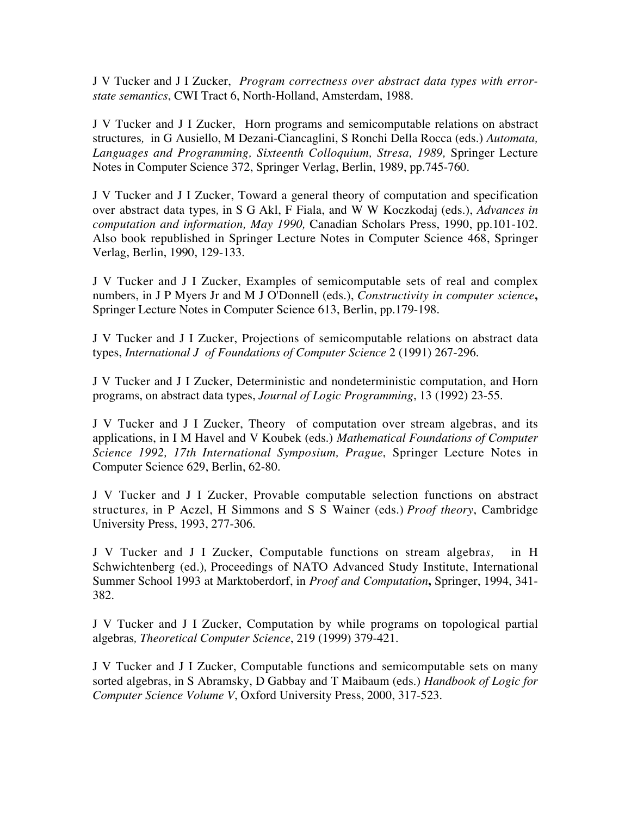J V Tucker and J I Zucker, *Program correctness over abstract data types with errorstate semantics*, CWI Tract 6, North-Holland, Amsterdam, 1988.

J V Tucker and J I Zucker, Horn programs and semicomputable relations on abstract structures*,* in G Ausiello, M Dezani-Ciancaglini, S Ronchi Della Rocca (eds.) *Automata, Languages and Programming, Sixteenth Colloquium, Stresa, 1989,* Springer Lecture Notes in Computer Science 372, Springer Verlag, Berlin, 1989, pp.745-760.

J V Tucker and J I Zucker, Toward a general theory of computation and specification over abstract data types*,* in S G Akl, F Fiala, and W W Koczkodaj (eds.), *Advances in computation and information, May 1990,* Canadian Scholars Press, 1990, pp.101-102. Also book republished in Springer Lecture Notes in Computer Science 468, Springer Verlag, Berlin, 1990, 129-133.

J V Tucker and J I Zucker, Examples of semicomputable sets of real and complex numbers, in J P Myers Jr and M J O'Donnell (eds.), *Constructivity in computer science***,** Springer Lecture Notes in Computer Science 613, Berlin, pp.179-198.

J V Tucker and J I Zucker, Projections of semicomputable relations on abstract data types, *International J of Foundations of Computer Science* 2 (1991) 267-296.

J V Tucker and J I Zucker, Deterministic and nondeterministic computation, and Horn programs, on abstract data types, *Journal of Logic Programming*, 13 (1992) 23-55.

J V Tucker and J I Zucker, Theory of computation over stream algebras, and its applications, in I M Havel and V Koubek (eds.) *Mathematical Foundations of Computer Science 1992, 17th International Symposium, Prague*, Springer Lecture Notes in Computer Science 629, Berlin, 62-80.

J V Tucker and J I Zucker, Provable computable selection functions on abstract structure*s,* in P Aczel, H Simmons and S S Wainer (eds.) *Proof theory*, Cambridge University Press, 1993, 277-306.

J V Tucker and J I Zucker, Computable functions on stream algebra*s,* in H Schwichtenberg (ed.)*,* Proceedings of NATO Advanced Study Institute, International Summer School 1993 at Marktoberdorf, in *Proof and Computation***,** Springer, 1994, 341- 382.

J V Tucker and J I Zucker, Computation by while programs on topological partial algebras*, Theoretical Computer Science*, 219 (1999) 379-421.

J V Tucker and J I Zucker, Computable functions and semicomputable sets on many sorted algebras, in S Abramsky, D Gabbay and T Maibaum (eds.) *Handbook of Logic for Computer Science Volume V*, Oxford University Press, 2000, 317-523.